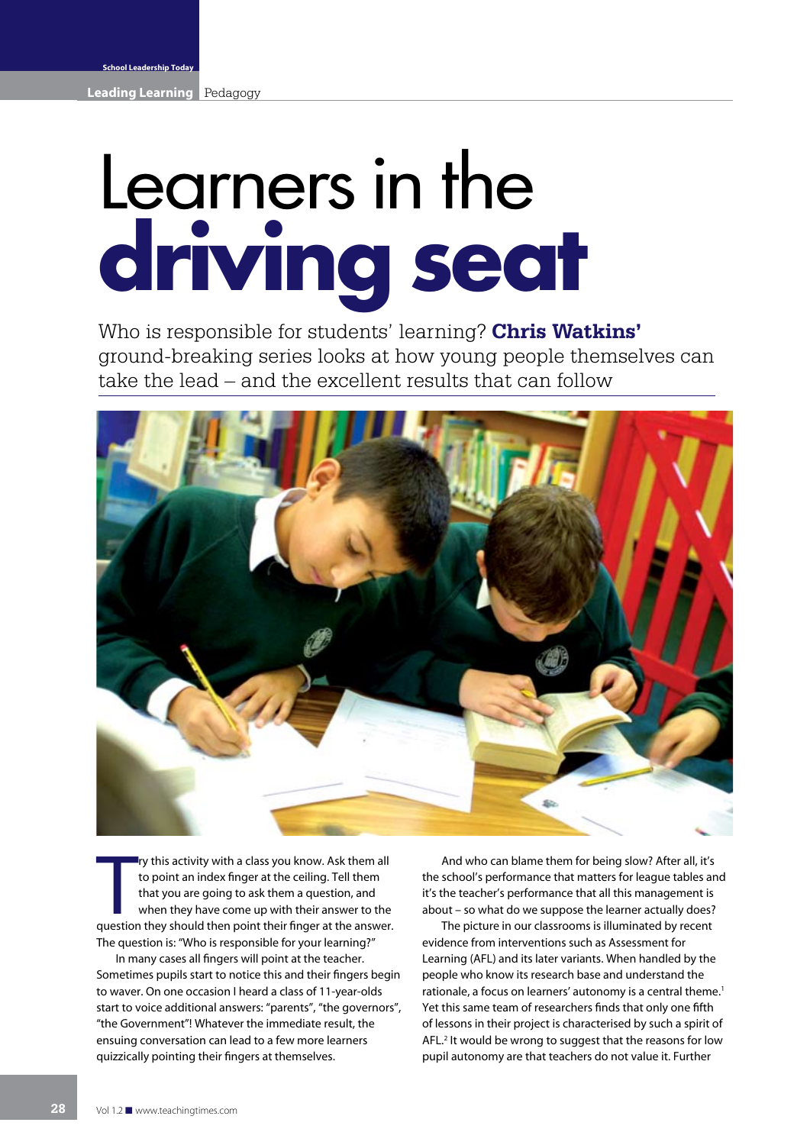## Learners in the **driving seat**

Who is responsible for students' learning? **Chris Watkins'** ground-breaking series looks at how young people themselves can take the lead – and the excellent results that can follow



In the show. Ask them all<br>to point an index finger at the ceiling. Tell them<br>that you are going to ask them a question, and<br>when they have come up with their answer to the<br>question they should then point their finger at th ry this activity with a class you know. Ask them all to point an index finger at the ceiling. Tell them that you are going to ask them a question, and when they have come up with their answer to the The question is: "Who is responsible for your learning?"

In many cases all fingers will point at the teacher. Sometimes pupils start to notice this and their fingers begin to waver. On one occasion I heard a class of 11-year-olds start to voice additional answers: "parents", "the governors", "the Government"! Whatever the immediate result, the ensuing conversation can lead to a few more learners quizzically pointing their fingers at themselves.

And who can blame them for being slow? After all, it's the school's performance that matters for league tables and it's the teacher's performance that all this management is about – so what do we suppose the learner actually does?

The picture in our classrooms is illuminated by recent evidence from interventions such as Assessment for Learning (AFL) and its later variants. When handled by the people who know its research base and understand the rationale, a focus on learners' autonomy is a central theme.<sup>1</sup> Yet this same team of researchers finds that only one fifth of lessons in their project is characterised by such a spirit of AFL.<sup>2</sup> It would be wrong to suggest that the reasons for low pupil autonomy are that teachers do not value it. Further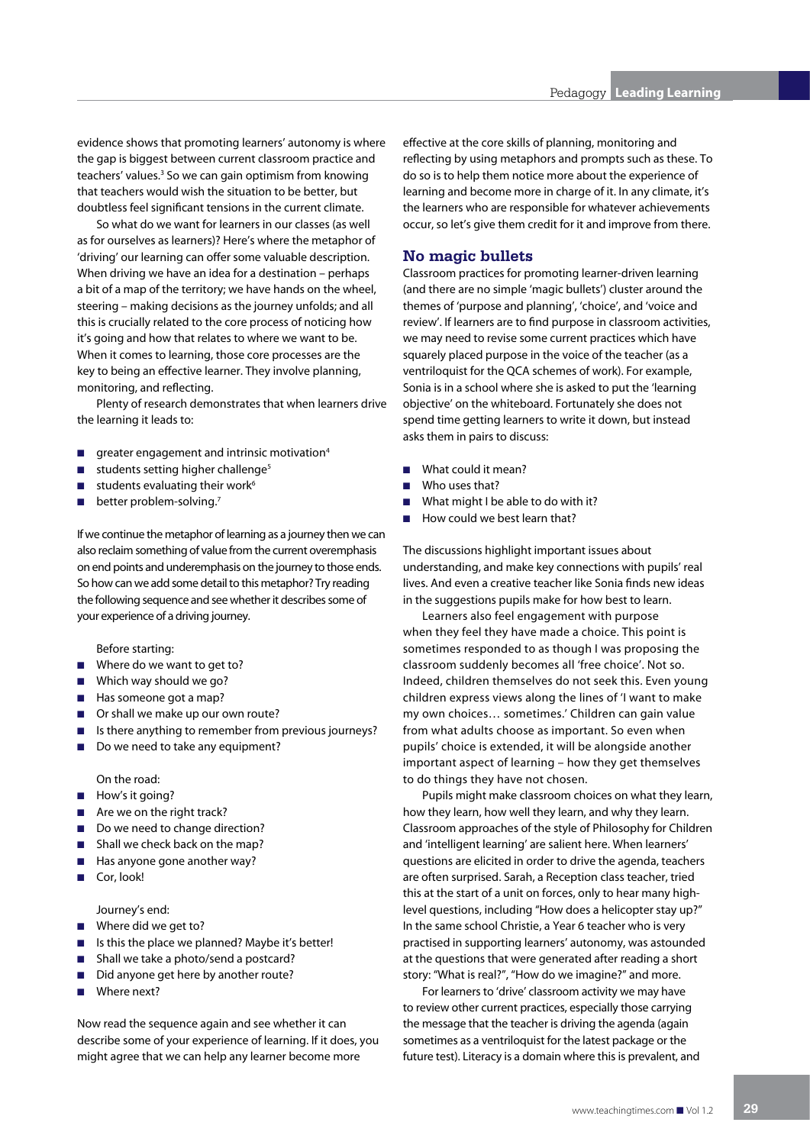So what do we want for learners in our classes (as well as for ourselves as learners)? Here's where the metaphor of 'driving' our learning can offer some valuable description. When driving we have an idea for a destination – perhaps a bit of a map of the territory; we have hands on the wheel, steering – making decisions as the journey unfolds; and all this is crucially related to the core process of noticing how it's going and how that relates to where we want to be. When it comes to learning, those core processes are the key to being an effective learner. They involve planning, monitoring, and reflecting.

Plenty of research demonstrates that when learners drive the learning it leads to:

- greater engagement and intrinsic motivation4 n
- students setting higher challenge<sup>5</sup> n
- students evaluating their work<sup>6</sup> n
- better problem-solving.<sup>7</sup> n

If we continue the metaphor of learning as a journey then we can also reclaim something of value from the current overemphasis on end points and underemphasis on the journey to those ends. So how can we add some detail to this metaphor? Try reading the following sequence and see whether it describes some of your experience of a driving journey.

Before starting:

- Where do we want to get to?
- Which way should we go?
- Has someone got a map?
- Or shall we make up our own route?
- Is there anything to remember from previous journeys?
- Do we need to take any equipment?

On the road:

- How's it going?
- Are we on the right track?
- Do we need to change direction?
- Shall we check back on the map? n
- Has anyone gone another way?
- Cor, look!

Journey's end:

- Where did we get to?
- Is this the place we planned? Maybe it's better!
- Shall we take a photo/send a postcard? n
- Did anyone get here by another route? n
- Where next? n

Now read the sequence again and see whether it can describe some of your experience of learning. If it does, you might agree that we can help any learner become more

effective at the core skills of planning, monitoring and reflecting by using metaphors and prompts such as these. To do so is to help them notice more about the experience of learning and become more in charge of it. In any climate, it's the learners who are responsible for whatever achievements occur, so let's give them credit for it and improve from there.

## **No magic bullets**

Classroom practices for promoting learner-driven learning (and there are no simple 'magic bullets') cluster around the themes of 'purpose and planning', 'choice', and 'voice and review'. If learners are to find purpose in classroom activities, we may need to revise some current practices which have squarely placed purpose in the voice of the teacher (as a ventriloquist for the QCA schemes of work). For example, Sonia is in a school where she is asked to put the 'learning objective' on the whiteboard. Fortunately she does not spend time getting learners to write it down, but instead asks them in pairs to discuss:

- What could it mean? n
- Who uses that? n
- What might I be able to do with it? n
- How could we best learn that? n

The discussions highlight important issues about understanding, and make key connections with pupils' real lives. And even a creative teacher like Sonia finds new ideas in the suggestions pupils make for how best to learn.

Learners also feel engagement with purpose when they feel they have made a choice. This point is sometimes responded to as though I was proposing the classroom suddenly becomes all 'free choice'. Not so. Indeed, children themselves do not seek this. Even young children express views along the lines of 'I want to make my own choices… sometimes.' Children can gain value from what adults choose as important. So even when pupils' choice is extended, it will be alongside another important aspect of learning – how they get themselves to do things they have not chosen.

Pupils might make classroom choices on what they learn, how they learn, how well they learn, and why they learn. Classroom approaches of the style of Philosophy for Children and 'intelligent learning' are salient here. When learners' questions are elicited in order to drive the agenda, teachers are often surprised. Sarah, a Reception class teacher, tried this at the start of a unit on forces, only to hear many highlevel questions, including "How does a helicopter stay up?" In the same school Christie, a Year 6 teacher who is very practised in supporting learners' autonomy, was astounded at the questions that were generated after reading a short story: "What is real?", "How do we imagine?" and more.

For learners to 'drive' classroom activity we may have to review other current practices, especially those carrying the message that the teacher is driving the agenda (again sometimes as a ventriloquist for the latest package or the future test). Literacy is a domain where this is prevalent, and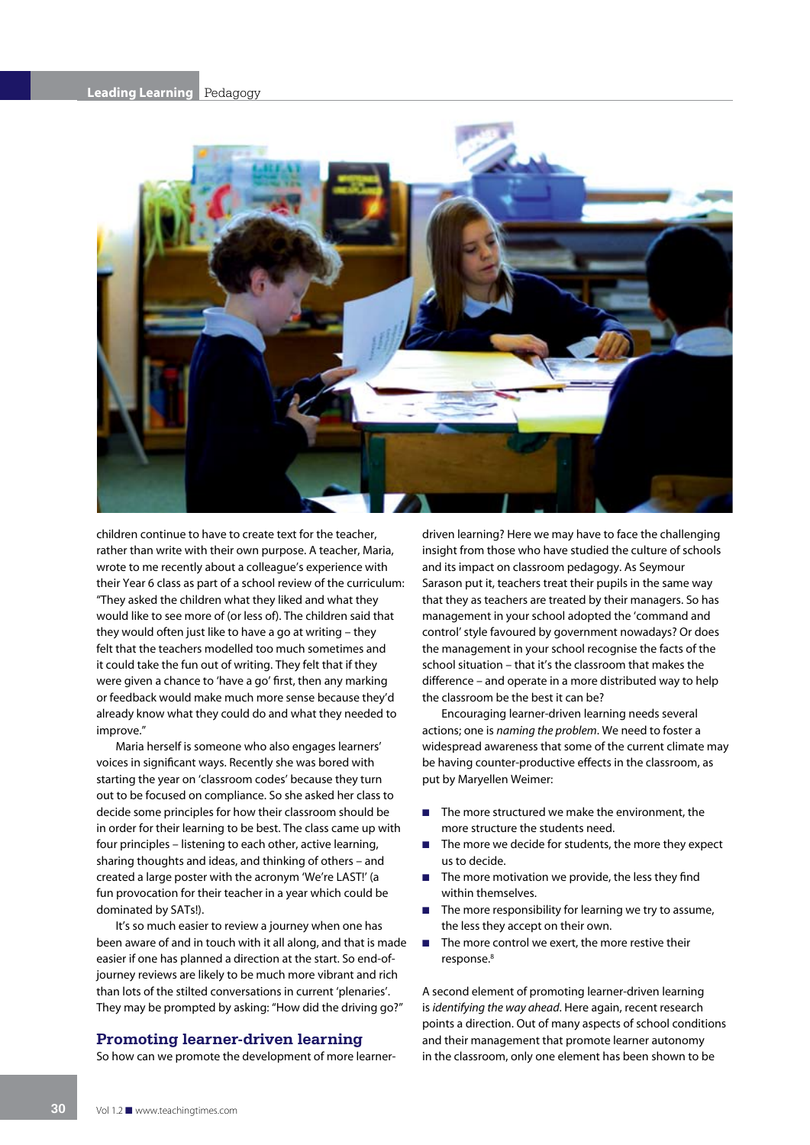

children continue to have to create text for the teacher, rather than write with their own purpose. A teacher, Maria, wrote to me recently about a colleague's experience with their Year 6 class as part of a school review of the curriculum: "They asked the children what they liked and what they would like to see more of (or less of). The children said that they would often just like to have a go at writing – they felt that the teachers modelled too much sometimes and it could take the fun out of writing. They felt that if they were given a chance to 'have a go' first, then any marking or feedback would make much more sense because they'd already know what they could do and what they needed to improve."

Maria herself is someone who also engages learners' voices in significant ways. Recently she was bored with starting the year on 'classroom codes' because they turn out to be focused on compliance. So she asked her class to decide some principles for how their classroom should be in order for their learning to be best. The class came up with four principles – listening to each other, active learning, sharing thoughts and ideas, and thinking of others – and created a large poster with the acronym 'We're LAST!' (a fun provocation for their teacher in a year which could be dominated by SATs!).

It's so much easier to review a journey when one has been aware of and in touch with it all along, and that is made easier if one has planned a direction at the start. So end-ofjourney reviews are likely to be much more vibrant and rich than lots of the stilted conversations in current 'plenaries'. They may be prompted by asking: "How did the driving go?"

## **Promoting learner-driven learning**

So how can we promote the development of more learner-

driven learning? Here we may have to face the challenging insight from those who have studied the culture of schools and its impact on classroom pedagogy. As Seymour Sarason put it, teachers treat their pupils in the same way that they as teachers are treated by their managers. So has management in your school adopted the 'command and control' style favoured by government nowadays? Or does the management in your school recognise the facts of the school situation – that it's the classroom that makes the difference – and operate in a more distributed way to help the classroom be the best it can be?

Encouraging learner-driven learning needs several actions; one is *naming the problem*. We need to foster a widespread awareness that some of the current climate may be having counter-productive effects in the classroom, as put by Maryellen Weimer:

- The more structured we make the environment, the more structure the students need.
- The more we decide for students, the more they expect us to decide. n
- The more motivation we provide, the less they find within themselves.
- **The more responsibility for learning we try to assume,** the less they accept on their own.
- The more control we exert, the more restive their response.<sup>8</sup> n

A second element of promoting learner-driven learning is *identifying the way ahead*. Here again, recent research points a direction. Out of many aspects of school conditions and their management that promote learner autonomy in the classroom, only one element has been shown to be